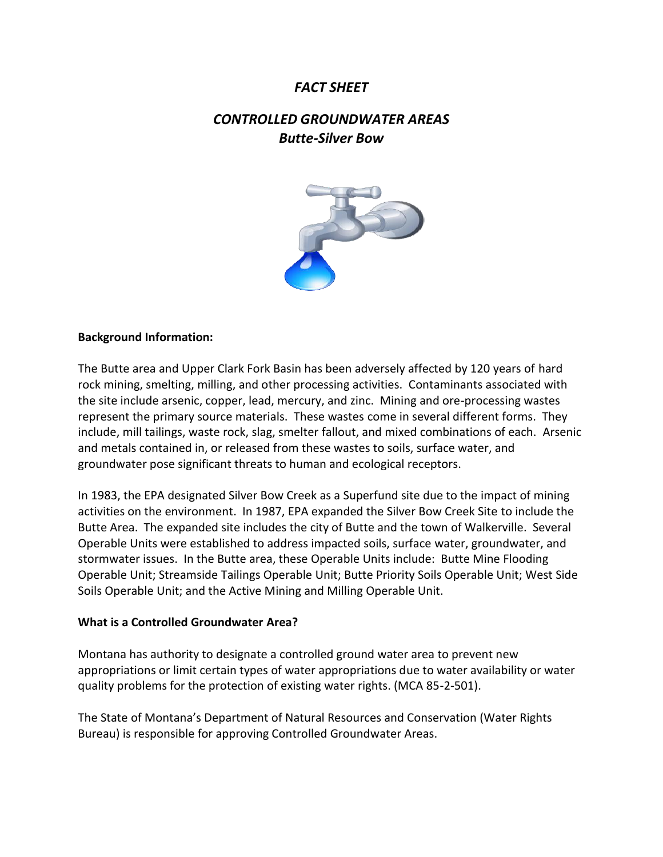# *FACT SHEET*

# *CONTROLLED GROUNDWATER AREAS Butte-Silver Bow*



#### **Background Information:**

The Butte area and Upper Clark Fork Basin has been adversely affected by 120 years of hard rock mining, smelting, milling, and other processing activities. Contaminants associated with the site include arsenic, copper, lead, mercury, and zinc. Mining and ore-processing wastes represent the primary source materials. These wastes come in several different forms. They include, mill tailings, waste rock, slag, smelter fallout, and mixed combinations of each. Arsenic and metals contained in, or released from these wastes to soils, surface water, and groundwater pose significant threats to human and ecological receptors.

In 1983, the EPA designated Silver Bow Creek as a Superfund site due to the impact of mining activities on the environment. In 1987, EPA expanded the Silver Bow Creek Site to include the Butte Area. The expanded site includes the city of Butte and the town of Walkerville. Several Operable Units were established to address impacted soils, surface water, groundwater, and stormwater issues. In the Butte area, these Operable Units include: Butte Mine Flooding Operable Unit; Streamside Tailings Operable Unit; Butte Priority Soils Operable Unit; West Side Soils Operable Unit; and the Active Mining and Milling Operable Unit.

#### **What is a Controlled Groundwater Area?**

Montana has authority to designate a controlled ground water area to prevent new appropriations or limit certain types of water appropriations due to water availability or water quality problems for the protection of existing water rights. (MCA 85-2-501).

The State of Montana's Department of Natural Resources and Conservation (Water Rights Bureau) is responsible for approving Controlled Groundwater Areas.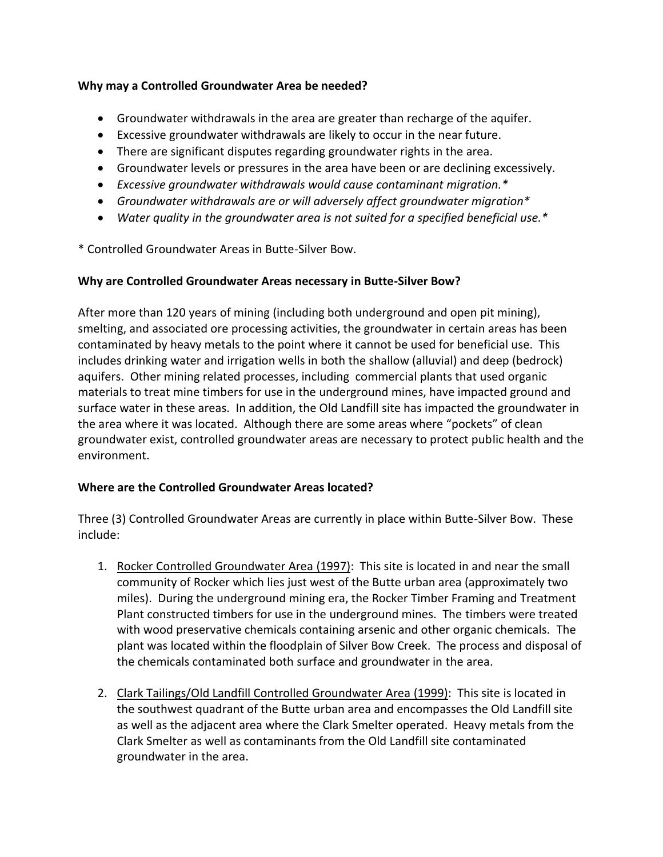# **Why may a Controlled Groundwater Area be needed?**

- Groundwater withdrawals in the area are greater than recharge of the aquifer.
- Excessive groundwater withdrawals are likely to occur in the near future.
- There are significant disputes regarding groundwater rights in the area.
- Groundwater levels or pressures in the area have been or are declining excessively.
- *Excessive groundwater withdrawals would cause contaminant migration.\**
- *Groundwater withdrawals are or will adversely affect groundwater migration\**
- *Water quality in the groundwater area is not suited for a specified beneficial use.\**

\* Controlled Groundwater Areas in Butte-Silver Bow.

#### **Why are Controlled Groundwater Areas necessary in Butte-Silver Bow?**

After more than 120 years of mining (including both underground and open pit mining), smelting, and associated ore processing activities, the groundwater in certain areas has been contaminated by heavy metals to the point where it cannot be used for beneficial use. This includes drinking water and irrigation wells in both the shallow (alluvial) and deep (bedrock) aquifers. Other mining related processes, including commercial plants that used organic materials to treat mine timbers for use in the underground mines, have impacted ground and surface water in these areas. In addition, the Old Landfill site has impacted the groundwater in the area where it was located. Although there are some areas where "pockets" of clean groundwater exist, controlled groundwater areas are necessary to protect public health and the environment.

# **Where are the Controlled Groundwater Areas located?**

Three (3) Controlled Groundwater Areas are currently in place within Butte-Silver Bow. These include:

- 1. Rocker Controlled Groundwater Area (1997): This site is located in and near the small community of Rocker which lies just west of the Butte urban area (approximately two miles). During the underground mining era, the Rocker Timber Framing and Treatment Plant constructed timbers for use in the underground mines. The timbers were treated with wood preservative chemicals containing arsenic and other organic chemicals. The plant was located within the floodplain of Silver Bow Creek. The process and disposal of the chemicals contaminated both surface and groundwater in the area.
- 2. Clark Tailings/Old Landfill Controlled Groundwater Area (1999): This site is located in the southwest quadrant of the Butte urban area and encompasses the Old Landfill site as well as the adjacent area where the Clark Smelter operated. Heavy metals from the Clark Smelter as well as contaminants from the Old Landfill site contaminated groundwater in the area.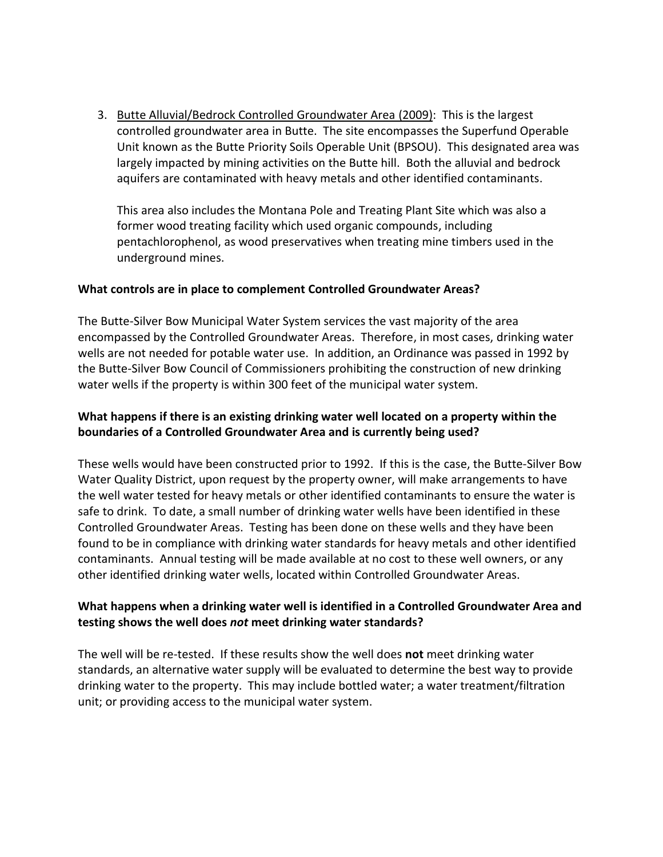3. Butte Alluvial/Bedrock Controlled Groundwater Area (2009): This is the largest controlled groundwater area in Butte. The site encompasses the Superfund Operable Unit known as the Butte Priority Soils Operable Unit (BPSOU). This designated area was largely impacted by mining activities on the Butte hill. Both the alluvial and bedrock aquifers are contaminated with heavy metals and other identified contaminants.

This area also includes the Montana Pole and Treating Plant Site which was also a former wood treating facility which used organic compounds, including pentachlorophenol, as wood preservatives when treating mine timbers used in the underground mines.

### **What controls are in place to complement Controlled Groundwater Areas?**

The Butte-Silver Bow Municipal Water System services the vast majority of the area encompassed by the Controlled Groundwater Areas. Therefore, in most cases, drinking water wells are not needed for potable water use. In addition, an Ordinance was passed in 1992 by the Butte-Silver Bow Council of Commissioners prohibiting the construction of new drinking water wells if the property is within 300 feet of the municipal water system.

# **What happens if there is an existing drinking water well located on a property within the boundaries of a Controlled Groundwater Area and is currently being used?**

These wells would have been constructed prior to 1992. If this is the case, the Butte-Silver Bow Water Quality District, upon request by the property owner, will make arrangements to have the well water tested for heavy metals or other identified contaminants to ensure the water is safe to drink. To date, a small number of drinking water wells have been identified in these Controlled Groundwater Areas. Testing has been done on these wells and they have been found to be in compliance with drinking water standards for heavy metals and other identified contaminants. Annual testing will be made available at no cost to these well owners, or any other identified drinking water wells, located within Controlled Groundwater Areas.

# **What happens when a drinking water well is identified in a Controlled Groundwater Area and testing shows the well does** *not* **meet drinking water standards?**

The well will be re-tested. If these results show the well does **not** meet drinking water standards, an alternative water supply will be evaluated to determine the best way to provide drinking water to the property. This may include bottled water; a water treatment/filtration unit; or providing access to the municipal water system.